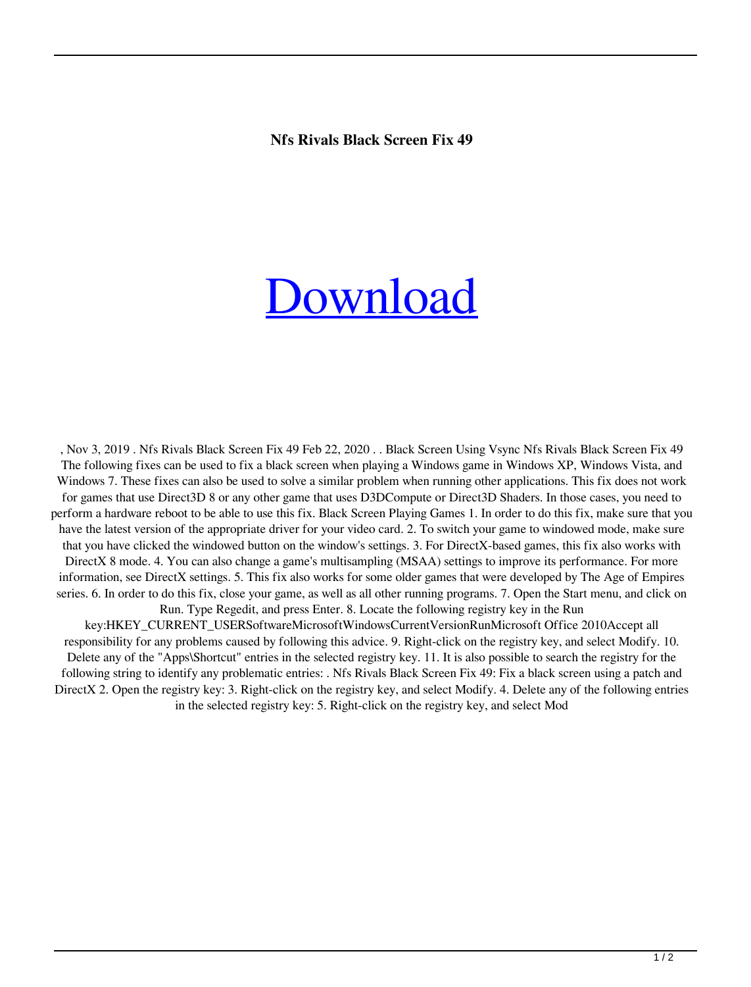## **Nfs Rivals Black Screen Fix 49**

## [Download](http://evacdir.com/ZG93bmxvYWR8R2Q1YUdNM2RYeDhNVFkxTlRnME1qazRNWHg4TWpVNU1IeDhLRTBwSUZkdmNtUndjbVZ6Y3lCYldFMU1VbEJESUZZeUlGQkVSbDA.TmZzIFJpdmFscyBCbGFjayBTY3JlZW4gRml4IDQ5TmZ/replace]/alight/?reveron=anguor)

, Nov 3, 2019 . Nfs Rivals Black Screen Fix 49 Feb 22, 2020 . . Black Screen Using Vsync Nfs Rivals Black Screen Fix 49 The following fixes can be used to fix a black screen when playing a Windows game in Windows XP, Windows Vista, and Windows 7. These fixes can also be used to solve a similar problem when running other applications. This fix does not work for games that use Direct3D 8 or any other game that uses D3DCompute or Direct3D Shaders. In those cases, you need to perform a hardware reboot to be able to use this fix. Black Screen Playing Games 1. In order to do this fix, make sure that you have the latest version of the appropriate driver for your video card. 2. To switch your game to windowed mode, make sure that you have clicked the windowed button on the window's settings. 3. For DirectX-based games, this fix also works with DirectX 8 mode. 4. You can also change a game's multisampling (MSAA) settings to improve its performance. For more information, see DirectX settings. 5. This fix also works for some older games that were developed by The Age of Empires series. 6. In order to do this fix, close your game, as well as all other running programs. 7. Open the Start menu, and click on Run. Type Regedit, and press Enter. 8. Locate the following registry key in the Run key:HKEY\_CURRENT\_USERSoftwareMicrosoftWindowsCurrentVersionRunMicrosoft Office 2010Accept all

responsibility for any problems caused by following this advice. 9. Right-click on the registry key, and select Modify. 10. Delete any of the "Apps\Shortcut" entries in the selected registry key. 11. It is also possible to search the registry for the following string to identify any problematic entries: . Nfs Rivals Black Screen Fix 49: Fix a black screen using a patch and DirectX 2. Open the registry key: 3. Right-click on the registry key, and select Modify. 4. Delete any of the following entries in the selected registry key: 5. Right-click on the registry key, and select Mod